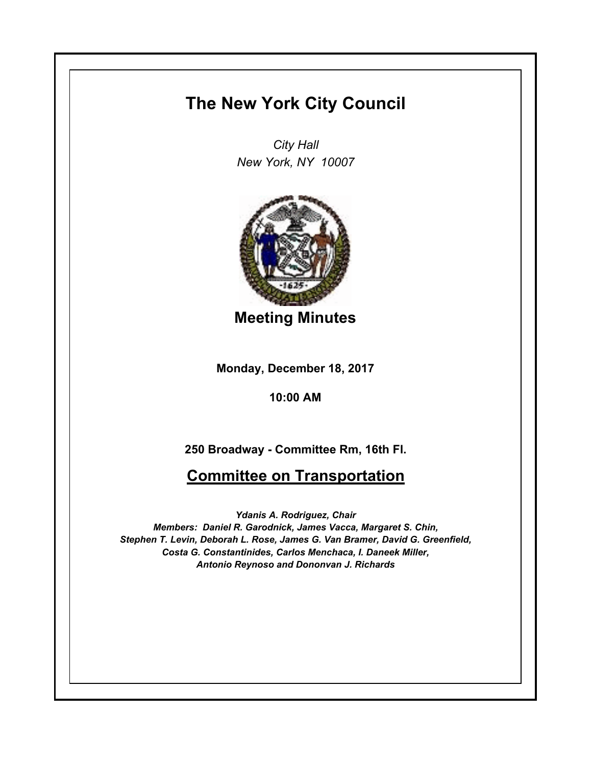# **The New York City Council**

*City Hall New York, NY 10007*



**Meeting Minutes**

**Monday, December 18, 2017**

**10:00 AM**

**250 Broadway - Committee Rm, 16th Fl.**

# **Committee on Transportation**

*Ydanis A. Rodriguez, Chair Members: Daniel R. Garodnick, James Vacca, Margaret S. Chin, Stephen T. Levin, Deborah L. Rose, James G. Van Bramer, David G. Greenfield, Costa G. Constantinides, Carlos Menchaca, I. Daneek Miller, Antonio Reynoso and Dononvan J. Richards*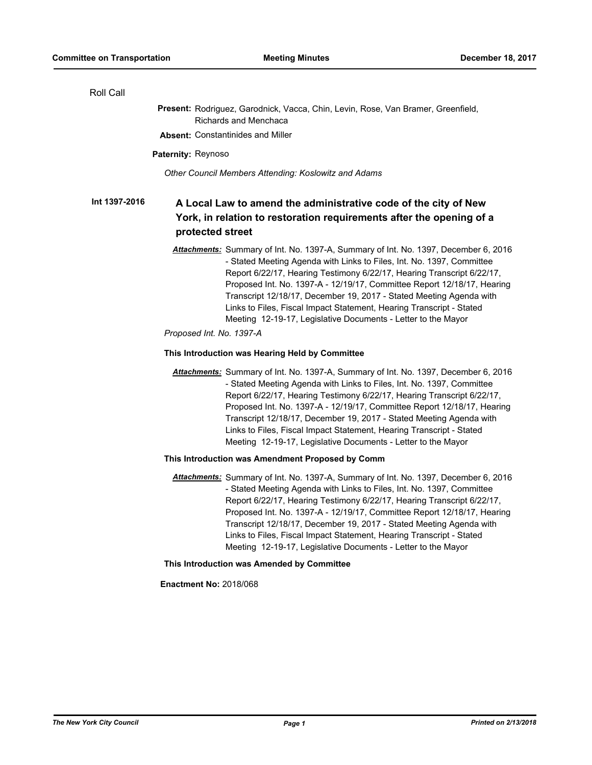| Roll Call     |                                                                                                                                                                                                                                                                                                                                                                                                                                                                                                                                   |
|---------------|-----------------------------------------------------------------------------------------------------------------------------------------------------------------------------------------------------------------------------------------------------------------------------------------------------------------------------------------------------------------------------------------------------------------------------------------------------------------------------------------------------------------------------------|
|               | Present: Rodriguez, Garodnick, Vacca, Chin, Levin, Rose, Van Bramer, Greenfield,<br>Richards and Menchaca                                                                                                                                                                                                                                                                                                                                                                                                                         |
|               | <b>Absent: Constantinides and Miller</b>                                                                                                                                                                                                                                                                                                                                                                                                                                                                                          |
|               | Paternity: Reynoso                                                                                                                                                                                                                                                                                                                                                                                                                                                                                                                |
|               | Other Council Members Attending: Koslowitz and Adams                                                                                                                                                                                                                                                                                                                                                                                                                                                                              |
| Int 1397-2016 | A Local Law to amend the administrative code of the city of New                                                                                                                                                                                                                                                                                                                                                                                                                                                                   |
|               | York, in relation to restoration requirements after the opening of a                                                                                                                                                                                                                                                                                                                                                                                                                                                              |
|               | protected street                                                                                                                                                                                                                                                                                                                                                                                                                                                                                                                  |
|               | Attachments: Summary of Int. No. 1397-A, Summary of Int. No. 1397, December 6, 2016<br>- Stated Meeting Agenda with Links to Files, Int. No. 1397, Committee<br>Report 6/22/17, Hearing Testimony 6/22/17, Hearing Transcript 6/22/17,<br>Proposed Int. No. 1397-A - 12/19/17, Committee Report 12/18/17, Hearing<br>Transcript 12/18/17, December 19, 2017 - Stated Meeting Agenda with<br>Links to Files, Fiscal Impact Statement, Hearing Transcript - Stated<br>Meeting 12-19-17, Legislative Documents - Letter to the Mayor |
|               | Proposed Int. No. 1397-A                                                                                                                                                                                                                                                                                                                                                                                                                                                                                                          |
|               | This Introduction was Hearing Held by Committee                                                                                                                                                                                                                                                                                                                                                                                                                                                                                   |
|               | Attachments: Summary of Int. No. 1397-A, Summary of Int. No. 1397, December 6, 2016<br>- Stated Meeting Agenda with Links to Files, Int. No. 1397, Committee<br>Report 6/22/17, Hearing Testimony 6/22/17, Hearing Transcript 6/22/17,<br>Proposed Int. No. 1397-A - 12/19/17, Committee Report 12/18/17, Hearing<br>Transcript 12/18/17, December 19, 2017 - Stated Meeting Agenda with<br>Links to Files, Fiscal Impact Statement, Hearing Transcript - Stated<br>Meeting 12-19-17, Legislative Documents - Letter to the Mayor |
|               | This Introduction was Amendment Proposed by Comm                                                                                                                                                                                                                                                                                                                                                                                                                                                                                  |
|               | Attachments: Summary of Int. No. 1397-A, Summary of Int. No. 1397, December 6, 2016<br>- Stated Meeting Agenda with Links to Files, Int. No. 1397, Committee<br>Report 6/22/17, Hearing Testimony 6/22/17, Hearing Transcript 6/22/17,<br>Proposed Int. No. 1397-A - 12/19/17, Committee Report 12/18/17, Hearing<br>Transcript 12/18/17, December 19, 2017 - Stated Meeting Agenda with<br>Links to Files, Fiscal Impact Statement, Hearing Transcript - Stated<br>Meeting 12-19-17, Legislative Documents - Letter to the Mayor |
|               | This Introduction was Amended by Committee                                                                                                                                                                                                                                                                                                                                                                                                                                                                                        |
|               | <b>Enactment No: 2018/068</b>                                                                                                                                                                                                                                                                                                                                                                                                                                                                                                     |
|               |                                                                                                                                                                                                                                                                                                                                                                                                                                                                                                                                   |
|               |                                                                                                                                                                                                                                                                                                                                                                                                                                                                                                                                   |
|               |                                                                                                                                                                                                                                                                                                                                                                                                                                                                                                                                   |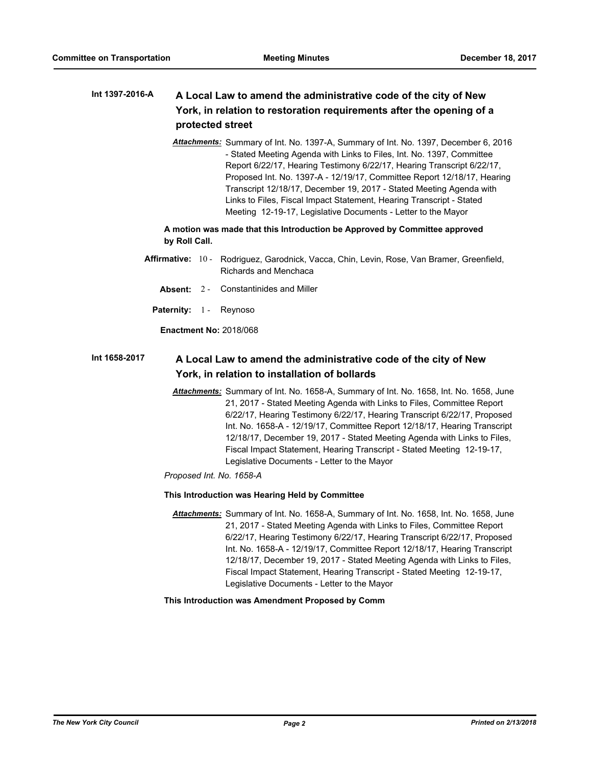### **A Local Law to amend the administrative code of the city of New York, in relation to restoration requirements after the opening of a protected street Int 1397-2016-A**

*Attachments:* Summary of Int. No. 1397-A, Summary of Int. No. 1397, December 6, 2016 - Stated Meeting Agenda with Links to Files, Int. No. 1397, Committee Report 6/22/17, Hearing Testimony 6/22/17, Hearing Transcript 6/22/17, Proposed Int. No. 1397-A - 12/19/17, Committee Report 12/18/17, Hearing Transcript 12/18/17, December 19, 2017 - Stated Meeting Agenda with Links to Files, Fiscal Impact Statement, Hearing Transcript - Stated Meeting 12-19-17, Legislative Documents - Letter to the Mayor

**A motion was made that this Introduction be Approved by Committee approved by Roll Call.**

- Affirmative: 10 Rodriguez, Garodnick, Vacca, Chin, Levin, Rose, Van Bramer, Greenfield, Richards and Menchaca
	- **Absent:** 2 Constantinides and Miller
	- Paternity: 1 Reynoso

**Enactment No:** 2018/068

#### **A Local Law to amend the administrative code of the city of New York, in relation to installation of bollards Int 1658-2017**

*Attachments:* Summary of Int. No. 1658-A, Summary of Int. No. 1658, Int. No. 1658, June 21, 2017 - Stated Meeting Agenda with Links to Files, Committee Report 6/22/17, Hearing Testimony 6/22/17, Hearing Transcript 6/22/17, Proposed Int. No. 1658-A - 12/19/17, Committee Report 12/18/17, Hearing Transcript 12/18/17, December 19, 2017 - Stated Meeting Agenda with Links to Files, Fiscal Impact Statement, Hearing Transcript - Stated Meeting 12-19-17, Legislative Documents - Letter to the Mayor

*Proposed Int. No. 1658-A*

### **This Introduction was Hearing Held by Committee**

*Attachments:* Summary of Int. No. 1658-A, Summary of Int. No. 1658, Int. No. 1658, June 21, 2017 - Stated Meeting Agenda with Links to Files, Committee Report 6/22/17, Hearing Testimony 6/22/17, Hearing Transcript 6/22/17, Proposed Int. No. 1658-A - 12/19/17, Committee Report 12/18/17, Hearing Transcript 12/18/17, December 19, 2017 - Stated Meeting Agenda with Links to Files, Fiscal Impact Statement, Hearing Transcript - Stated Meeting 12-19-17, Legislative Documents - Letter to the Mayor

## **This Introduction was Amendment Proposed by Comm**